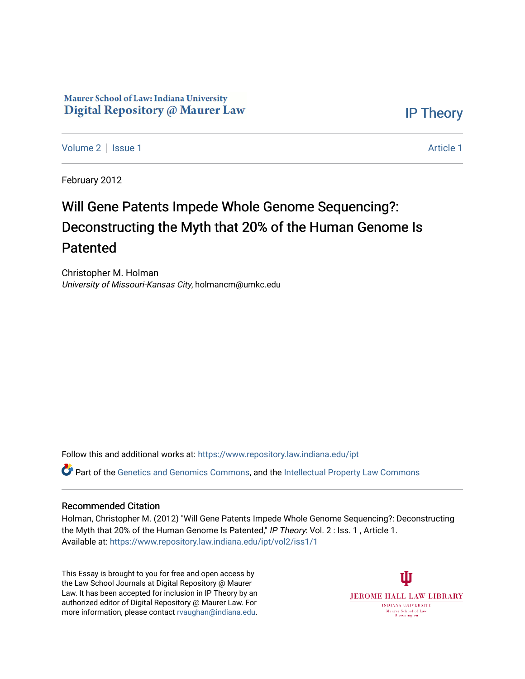### Maurer School of Law: Indiana University Digital Repository @ Maurer Law

[IP Theory](https://www.repository.law.indiana.edu/ipt) 

[Volume 2](https://www.repository.law.indiana.edu/ipt/vol2) | [Issue 1](https://www.repository.law.indiana.edu/ipt/vol2/iss1) [Article 1](https://www.repository.law.indiana.edu/ipt/vol2/iss1/1) Article 1 Article 1 Article 1 Article 1 Article 1 Article 1 Article 1 Article 1 A

February 2012

# Will Gene Patents Impede Whole Genome Sequencing?: Deconstructing the Myth that 20% of the Human Genome Is Patented

Christopher M. Holman University of Missouri-Kansas City, holmancm@umkc.edu

Follow this and additional works at: [https://www.repository.law.indiana.edu/ipt](https://www.repository.law.indiana.edu/ipt?utm_source=www.repository.law.indiana.edu%2Fipt%2Fvol2%2Fiss1%2F1&utm_medium=PDF&utm_campaign=PDFCoverPages) 

Part of the [Genetics and Genomics Commons](http://network.bepress.com/hgg/discipline/27?utm_source=www.repository.law.indiana.edu%2Fipt%2Fvol2%2Fiss1%2F1&utm_medium=PDF&utm_campaign=PDFCoverPages), and the [Intellectual Property Law Commons](http://network.bepress.com/hgg/discipline/896?utm_source=www.repository.law.indiana.edu%2Fipt%2Fvol2%2Fiss1%2F1&utm_medium=PDF&utm_campaign=PDFCoverPages) 

#### Recommended Citation

Holman, Christopher M. (2012) "Will Gene Patents Impede Whole Genome Sequencing?: Deconstructing the Myth that 20% of the Human Genome Is Patented," IP Theory: Vol. 2 : Iss. 1, Article 1. Available at: [https://www.repository.law.indiana.edu/ipt/vol2/iss1/1](https://www.repository.law.indiana.edu/ipt/vol2/iss1/1?utm_source=www.repository.law.indiana.edu%2Fipt%2Fvol2%2Fiss1%2F1&utm_medium=PDF&utm_campaign=PDFCoverPages) 

This Essay is brought to you for free and open access by the Law School Journals at Digital Repository @ Maurer Law. It has been accepted for inclusion in IP Theory by an authorized editor of Digital Repository @ Maurer Law. For more information, please contact [rvaughan@indiana.edu](mailto:rvaughan@indiana.edu).

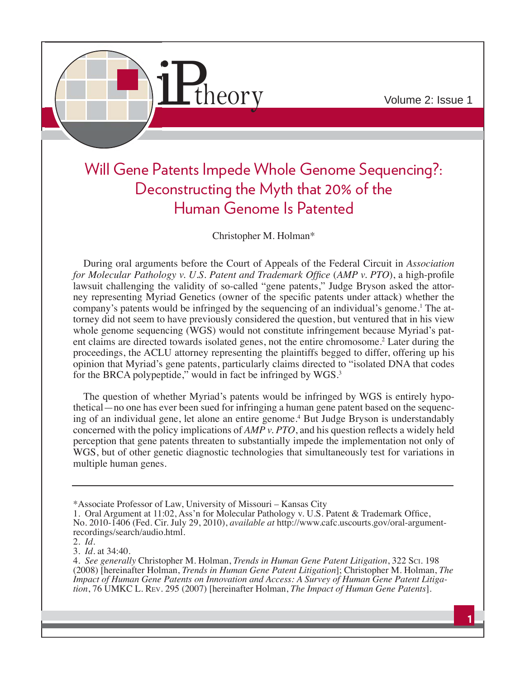

# Will Gene Patents Impede Whole Genome Sequencing?: Deconstructing the Myth that 20% of the Human Genome Is Patented

Christopher M. Holman\*

During oral arguments before the Court of Appeals of the Federal Circuit in *Association Ior Molecular Pathology v. U.S. Patent and Trademark Office (AMP v. PTO)*, a high-profile lawsuit challenging the validity of so-called "gene patents," Judge Bryson asked the attorney representing Myriad Genetics (owner of the specific patents under attack) whether the company's patents would be infringed by the sequencing of an individual's genome.<sup>1</sup> The attorney did not seem to have previously considered the question, but ventured that in his view whole genome sequencing (WGS) would not constitute infringement because Myriad's patent claims are directed towards isolated genes, not the entire chromosome.<sup>2</sup> Later during the proceedings, the ACLU attorney representing the plaintiffs begged to differ, offering up his opinion that Myriad's gene patents, particularly claims directed to "isolated DNA that codes for the BRCA polypeptide," would in fact be infringed by WGS.<sup>3</sup>

The question of whether Myriad's patents would be infringed by WGS is entirely hypothetical—no one has ever been sued for infringing a human gene patent based on the sequencing of an individual gene, let alone an entire genome.<sup>4</sup> But Judge Bryson is understandably concerned with the policy implications of *AMP v. PTO*, and his question reflects a widely held perception that gene patents threaten to substantially impede the implementation not only of WGS, but of other genetic diagnostic technologies that simultaneously test for variations in multiple human genes.

<sup>\*</sup>Associate Professor of Law, University of Missouri – Kansas City

<sup>1.</sup> Oral Argument at 11:02, Ass'n for Molecular Pathology v. U.S. Patent & Trademark Office, No. 2010-1406 (Fed. Cir. July 29, 2010), *available at* http://www.cafc.uscourts.gov/oral-argumentrecordings/search/audio.html.

<sup>2.</sup> *Id.*

<sup>3.</sup> *Id.* at 34:40.

<sup>4.</sup> *See generally* Christopher M. Holman, *Trends in Human Gene Patent Litigation*, 322 SCI. 198 (2008) [hereinafter Holman, *Trends in Human Gene Patent Litigation*]; Christopher M. Holman, *The Impact of Human Gene Patents on Innovation and Access: A Survey of Human Gene Patent Litigation*, 76 UMKC L. REV. 295 (2007) [hereinafter Holman, *The Impact of Human Gene Patents*].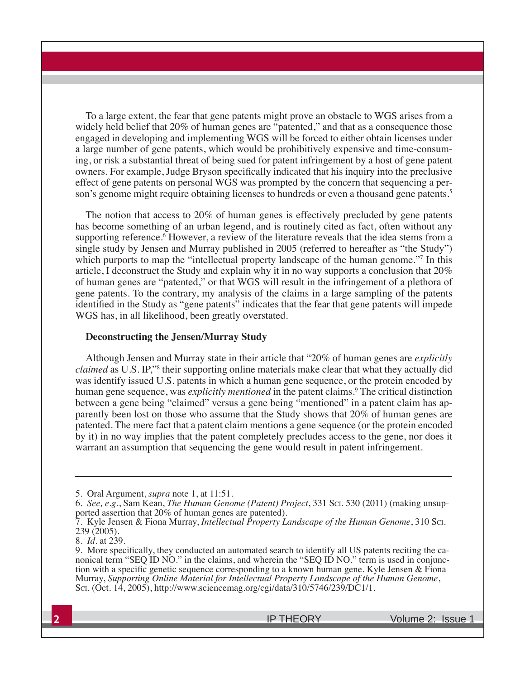To a large extent, the fear that gene patents might prove an obstacle to WGS arises from a widely held belief that 20% of human genes are "patented," and that as a consequence those engaged in developing and implementing WGS will be forced to either obtain licenses under a large number of gene patents, which would be prohibitively expensive and time-consuming, or risk a substantial threat of being sued for patent infringement by a host of gene patent owners. For example, Judge Bryson specifically indicated that his inquiry into the preclusive effect of gene patents on personal WGS was prompted by the concern that sequencing a person's genome might require obtaining licenses to hundreds or even a thousand gene patents.<sup>5</sup>

The notion that access to 20% of human genes is effectively precluded by gene patents has become something of an urban legend, and is routinely cited as fact, often without any supporting reference.<sup>6</sup> However, a review of the literature reveals that the idea stems from a single study by Jensen and Murray published in 2005 (referred to hereafter as "the Study") which purports to map the "intellectual property landscape of the human genome."<sup>7</sup> In this article, I deconstruct the Study and explain why it in no way supports a conclusion that 20% of human genes are "patented," or that WGS will result in the infringement of a plethora of gene patents. To the contrary, my analysis of the claims in a large sampling of the patents identified in the Study as "gene patents" indicates that the fear that gene patents will impede WGS has, in all likelihood, been greatly overstated.

#### **Deconstructing the Jensen/Murray Study**

Although Jensen and Murray state in their article that "20% of human genes are *explicitly claimed* as U.S. IP,"8 their supporting online materials make clear that what they actually did was identify issued U.S. patents in which a human gene sequence, or the protein encoded by human gene sequence, was *explicitly mentioned* in the patent claims.<sup>9</sup> The critical distinction between a gene being "claimed" versus a gene being "mentioned" in a patent claim has apparently been lost on those who assume that the Study shows that 20% of human genes are patented. The mere fact that a patent claim mentions a gene sequence (or the protein encoded by it) in no way implies that the patent completely precludes access to the gene, nor does it warrant an assumption that sequencing the gene would result in patent infringement.

<sup>5.</sup> Oral Argument, *supra* note 1, at 11:51.

<sup>6.</sup> *See, e.g.*, Sam Kean, *The Human Genome (Patent) Project*, 331 SCI. 530 (2011) (making unsupported assertion that 20% of human genes are patented).

<sup>7.</sup> Kyle Jensen & Fiona Murray, *Intellectual Property Landscape of the Human Genome*, 310 SCI. 239 (2005).

<sup>8.</sup> *Id.* at 239.

<sup>9.</sup> More specifically, they conducted an automated search to identify all US patents reciting the canonical term "SEQ ID NO." in the claims, and wherein the "SEQ ID NO." term is used in conjunction with a specific genetic sequence corresponding to a known human gene. Kyle Jensen & Fiona Murray, *Supporting Online Material for Intellectual Property Landscape of the Human Genome*, SCI. (Oct. 14, 2005), http://www.sciencemag.org/cgi/data/310/5746/239/DC1/1.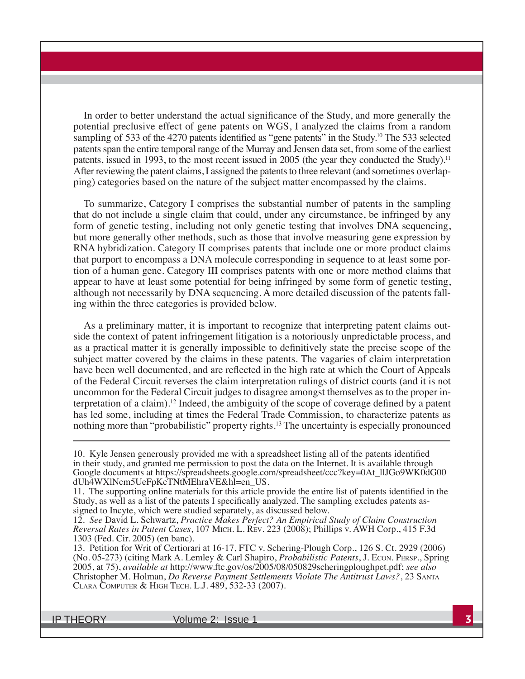In order to better understand the actual significance of the Study, and more generally the potential preclusive effect of gene patents on WGS, I analyzed the claims from a random sampling of 533 of the 4270 patents identified as "gene patents" in the Study.<sup>10</sup> The 533 selected patents span the entire temporal range of the Murray and Jensen data set, from some of the earliest patents, issued in 1993, to the most recent issued in 2005 (the year they conducted the Study).<sup>11</sup> After reviewing the patent claims, I assigned the patents to three relevant (and sometimes overlapping) categories based on the nature of the subject matter encompassed by the claims.

To summarize, Category I comprises the substantial number of patents in the sampling that do not include a single claim that could, under any circumstance, be infringed by any form of genetic testing, including not only genetic testing that involves DNA sequencing, but more generally other methods, such as those that involve measuring gene expression by RNA hybridization. Category II comprises patents that include one or more product claims that purport to encompass a DNA molecule corresponding in sequence to at least some portion of a human gene. Category III comprises patents with one or more method claims that appear to have at least some potential for being infringed by some form of genetic testing, although not necessarily by DNA sequencing. A more detailed discussion of the patents falling within the three categories is provided below.

As a preliminary matter, it is important to recognize that interpreting patent claims outside the context of patent infringement litigation is a notoriously unpredictable process, and as a practical matter it is generally impossible to definitively state the precise scope of the subject matter covered by the claims in these patents. The vagaries of claim interpretation have been well documented, and are reflected in the high rate at which the Court of Appeals of the Federal Circuit reverses the claim interpretation rulings of district courts (and it is not uncommon for the Federal Circuit judges to disagree amongst themselves as to the proper interpretation of a claim).<sup>12</sup> Indeed, the ambiguity of the scope of coverage defined by a patent has led some, including at times the Federal Trade Commission, to characterize patents as nothing more than "probabilistic" property rights.13 The uncertainty is especially pronounced

<sup>10.</sup> Kyle Jensen generously provided me with a spreadsheet listing all of the patents identified in their study, and granted me permission to post the data on the Internet. It is available through Google documents at https://spreadsheets.google.com/spreadsheet/ccc?key=0At\_llJGo9WK0dG00 dUh4WXlNcm5UeFpKcTNtMEhraVE&hl=en\_US.

<sup>11.</sup> The supporting online materials for this article provide the entire list of patents identified in the Study, as well as a list of the patents I specifically analyzed. The sampling excludes patents assigned to Incyte, which were studied separately, as discussed below.

<sup>12.</sup> *See* David L. Schwartz, *Practice Makes Perfect? An Empirical Study of Claim Construction Reversal Rates in Patent Cases*, 107 MICH. L. REV. 223 (2008); Phillips v. AWH Corp., 415 F.3d 1303 (Fed. Cir. 2005) (en banc).

<sup>13.</sup> Petition for Writ of Certiorari at 16-17, FTC v. Schering-Plough Corp., 126 S. Ct. 2929 (2006) (No. 05-273) (citing Mark A. Lemley & Carl Shapiro, *Probabilistic Patents*, J. ECON. PERSP., Spring 2005, at 75), *available at* http://www.ftc.gov/os/2005/08/050829scheringploughpet.pdf; *see also* Christopher M. Holman, *Do Reverse Payment Settlements Violate The Antitrust Laws?*, 23 SANTA CLARA COMPUTER & HIGH TECH. L.J. 489, 532-33 (2007).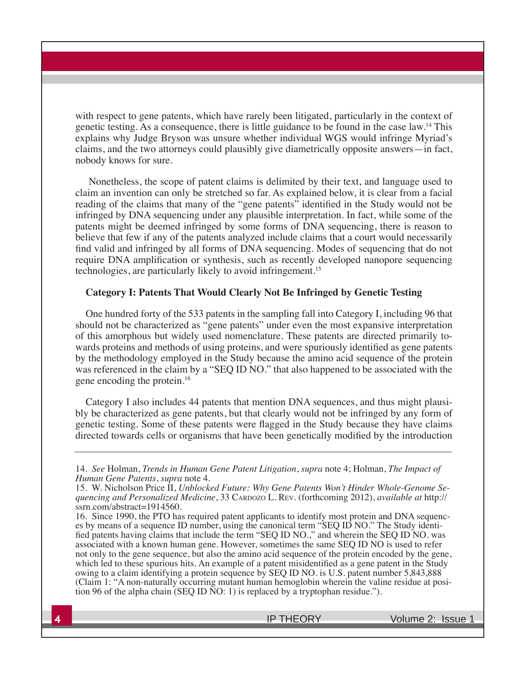with respect to gene patents, which have rarely been litigated, particularly in the context of genetic testing. As a consequence, there is little guidance to be found in the case law.14 This explains why Judge Bryson was unsure whether individual WGS would infringe Myriad's claims, and the two attorneys could plausibly give diametrically opposite answers—in fact, nobody knows for sure.

 Nonetheless, the scope of patent claims is delimited by their text, and language used to claim an invention can only be stretched so far. As explained below, it is clear from a facial reading of the claims that many of the "gene patents" identified in the Study would not be infringed by DNA sequencing under any plausible interpretation. In fact, while some of the patents might be deemed infringed by some forms of DNA sequencing, there is reason to believe that few if any of the patents analyzed include claims that a court would necessarily find valid and infringed by all forms of DNA sequencing. Modes of sequencing that do not require DNA amplification or synthesis, such as recently developed nanopore sequencing technologies, are particularly likely to avoid infringement.15

### **Category I: Patents That Would Clearly Not Be Infringed by Genetic Testing**

One hundred forty of the 533 patents in the sampling fall into Category I, including 96 that should not be characterized as "gene patents" under even the most expansive interpretation of this amorphous but widely used nomenclature. These patents are directed primarily towards proteins and methods of using proteins, and were spuriously identified as gene patents by the methodology employed in the Study because the amino acid sequence of the protein was referenced in the claim by a "SEQ ID NO." that also happened to be associated with the gene encoding the protein.16

Category I also includes 44 patents that mention DNA sequences, and thus might plausibly be characterized as gene patents, but that clearly would not be infringed by any form of genetic testing. Some of these patents were flagged in the Study because they have claims directed towards cells or organisms that have been genetically modified by the introduction

<sup>14.</sup> *See* Holman, *Trends in Human Gene Patent Litigation*, *supra* note 4; Holman, *The Impact of Human Gene Patents*, *supra* note 4.

<sup>15.</sup> W. Nicholson Price II, *Unblocked Future: Why Gene Patents Won't Hinder Whole-Genome Sequencing and Personalized Medicine*, 33 CARDOZO L. REV. (forthcoming 2012), *available at* http:// ssrn.com/abstract=1914560.

<sup>16.</sup> Since 1990, the PTO has required patent applicants to identify most protein and DNA sequences by means of a sequence ID number, using the canonical term "SEQ ID NO." The Study identified patents having claims that include the term "SEQ ID NO.," and wherein the SEQ ID NO. was associated with a known human gene. However, sometimes the same SEQ ID NO is used to refer not only to the gene sequence, but also the amino acid sequence of the protein encoded by the gene, which led to these spurious hits. An example of a patent misidentified as a gene patent in the Study owing to a claim identifying a protein sequence by SEQ ID NO. is U.S. patent number 5,843,888 (Claim 1: "A non-naturally occurring mutant human hemoglobin wherein the valine residue at position 96 of the alpha chain (SEQ ID NO: 1) is replaced by a tryptophan residue.").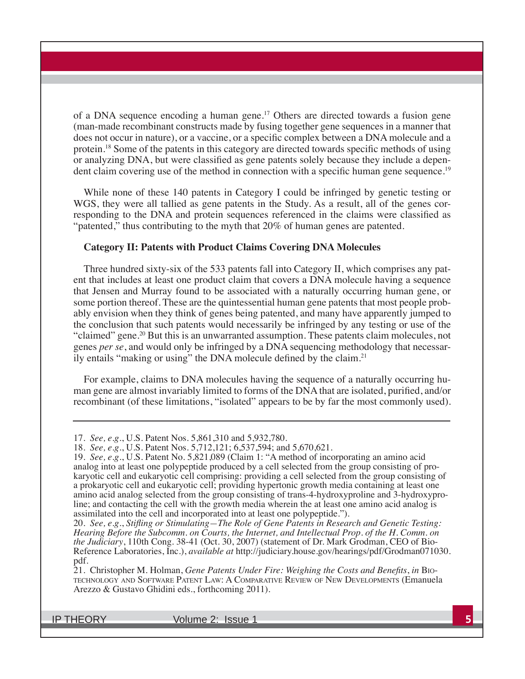of a DNA sequence encoding a human gene.17 Others are directed towards a fusion gene (man-made recombinant constructs made by fusing together gene sequences in a manner that does not occur in nature), or a vaccine, or a specific complex between a DNA molecule and a protein.<sup>18</sup> Some of the patents in this category are directed towards specific methods of using or analyzing DNA, but were classified as gene patents solely because they include a dependent claim covering use of the method in connection with a specific human gene sequence.<sup>19</sup>

While none of these 140 patents in Category I could be infringed by genetic testing or WGS, they were all tallied as gene patents in the Study. As a result, all of the genes corresponding to the DNA and protein sequences referenced in the claims were classified as "patented," thus contributing to the myth that 20% of human genes are patented.

#### **Category II: Patents with Product Claims Covering DNA Molecules**

Three hundred sixty-six of the 533 patents fall into Category II, which comprises any patent that includes at least one product claim that covers a DNA molecule having a sequence that Jensen and Murray found to be associated with a naturally occurring human gene, or some portion thereof. These are the quintessential human gene patents that most people probably envision when they think of genes being patented, and many have apparently jumped to the conclusion that such patents would necessarily be infringed by any testing or use of the "claimed" gene.<sup>20</sup> But this is an unwarranted assumption. These patents claim molecules, not genes *per se*, and would only be infringed by a DNA sequencing methodology that necessarily entails "making or using" the DNA molecule defined by the claim.<sup>21</sup>

For example, claims to DNA molecules having the sequence of a naturally occurring human gene are almost invariably limited to forms of the DNA that are isolated, purified, and/or recombinant (of these limitations, "isolated" appears to be by far the most commonly used).

<sup>17.</sup> *See, e.g.*, U.S. Patent Nos. 5,861,310 and 5,932,780.

<sup>18.</sup> *See, e.g.*, U.S. Patent Nos. 5,712,121; 6,537,594; and 5,670,621.

<sup>19.</sup> *See, e.g.*, U.S. Patent No. 5,821,089 (Claim 1: "A method of incorporating an amino acid analog into at least one polypeptide produced by a cell selected from the group consisting of prokaryotic cell and eukaryotic cell comprising: providing a cell selected from the group consisting of a prokaryotic cell and eukaryotic cell; providing hypertonic growth media containing at least one amino acid analog selected from the group consisting of trans-4-hydroxyproline and 3-hydroxyproline; and contacting the cell with the growth media wherein the at least one amino acid analog is assimilated into the cell and incorporated into at least one polypeptide.").

<sup>20.</sup> *See, e.g., Stifling or Stimulating–The Role of Gene Patents in Research and Genetic Testing: Hearing Before the Subcomm. on Courts, the Internet, and Intellectual Prop. of the H. Comm. on the Judiciary*, 110th Cong. 38-41 (Oct. 30, 2007) (statement of Dr. Mark Grodman, CEO of Bio-Reference Laboratories, Inc.), *available at* http://judiciary.house.gov/hearings/pdf/Grodman071030. pdf.

<sup>21.</sup> Christopher M. Holman, *Gene Patents Under Fire: Weighing the Costs and Benefits*, *in* Bio-TECHNOLOGY AND SOFTWARE PATENT LAW: A COMPARATIVE REVIEW OF NEW DEVELOPMENTS (Emanuela Arezzo & Gustavo Ghidini eds., forthcoming 2011).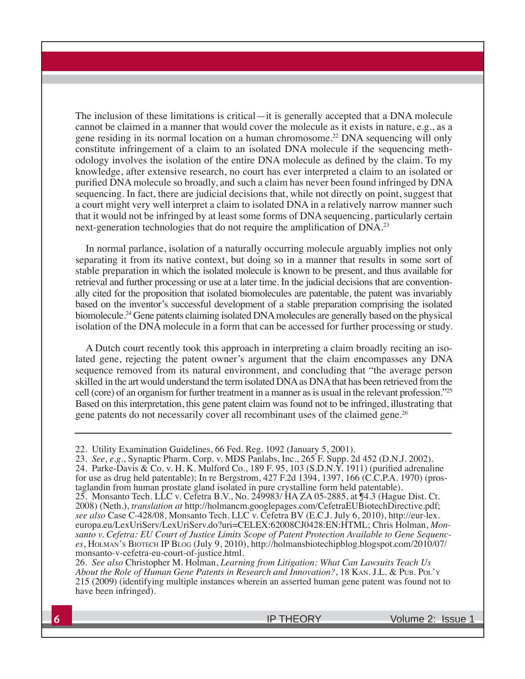The inclusion of these limitations is critical—it is generally accepted that a DNA molecule cannot be claimed in a manner that would cover the molecule as it exists in nature, e.g., as a gene residing in its normal location on a human chromosome.<sup>22</sup> DNA sequencing will only constitute infringement of a claim to an isolated DNA molecule if the sequencing methodology involves the isolation of the entire DNA molecule as defined by the claim. To my knowledge, after extensive research, no court has ever interpreted a claim to an isolated or purified DNA molecule so broadly, and such a claim has never been found infringed by DNA sequencing. In fact, there are judicial decisions that, while not directly on point, suggest that a court might very well interpret a claim to isolated DNA in a relatively narrow manner such that it would not be infringed by at least some forms of DNA sequencing, particularly certain next-generation technologies that do not require the amplification of DNA.<sup>23</sup>

In normal parlance, isolation of a naturally occurring molecule arguably implies not only separating it from its native context, but doing so in a manner that results in some sort of stable preparation in which the isolated molecule is known to be present, and thus available for retrieval and further processing or use at a later time. In the judicial decisions that are conventionally cited for the proposition that isolated biomolecules are patentable, the patent was invariably based on the inventor's successful development of a stable preparation comprising the isolated biomolecule.<sup>24</sup> Gene patents claiming isolated DNA molecules are generally based on the physical isolation of the DNA molecule in a form that can be accessed for further processing or study.

A Dutch court recently took this approach in interpreting a claim broadly reciting an isolated gene, rejecting the patent owner's argument that the claim encompasses any DNA sequence removed from its natural environment, and concluding that "the average person skilled in the art would understand the term isolated DNA as DNA that has been retrieved from the cell (core) of an organism for further treatment in a manner as is usual in the relevant profession."25 Based on this interpretation, this gene patent claim was found not to be infringed, illustrating that gene patents do not necessarily cover all recombinant uses of the claimed gene.<sup>26</sup>

22. Utility Examination Guidelines, 66 Fed. Reg. 1092 (January 5, 2001).

23. *See, e.g.*, Synaptic Pharm. Corp. v. MDS Panlabs, Inc., 265 F. Supp. 2d 452 (D.N.J. 2002). 24. Parke-Davis & Co. v. H. K. Mulford Co., 189 F. 95, 103 (S.D.N.Y. 1911) (purified adrenaline for use as drug held patentable); In re Bergstrom, 427 F.2d 1394, 1397, 166 (C.C.P.A. 1970) (prostaglandin from human prostate gland isolated in pure crystalline form held patentable). 25. Monsanto Tech. LLC v. Cefetra B.V., No. 249983/ HA ZA 05-2885, at ¶4.3 (Hague Dist. Ct. 2008) (Neth.), *translation at* http://holmancm.googlepages.com/CefetraEUBiotechDirective.pdf; *see also* Case C-428/08, Monsanto Tech. LLC v. Cefetra BV (E.C.J. July 6, 2010), http://eur-lex. europa.eu/LexUriServ/LexUriServ.do?uri=CELEX:62008CJ0428:EN:HTML; Chris Holman, *Monsanto v. Cefetra: EU Court of Justice Limits Scope of Patent Protection Available to Gene Sequences*, HOLMAN'S BIOTECH IP BLOG (July 9, 2010), http://holmansbiotechipblog.blogspot.com/2010/07/ monsanto-v-cefetra-eu-court-of-justice.html.

26. *See also* Christopher M. Holman, *Learning from Litigation: What Can Lawsuits Teach Us About the Role of Human Gene Patents in Research and Innovation?*, 18 KAN. J.L. & PUB. POL'Y 215 (2009) (identifying multiple instances wherein an asserted human gene patent was found not to have been infringed).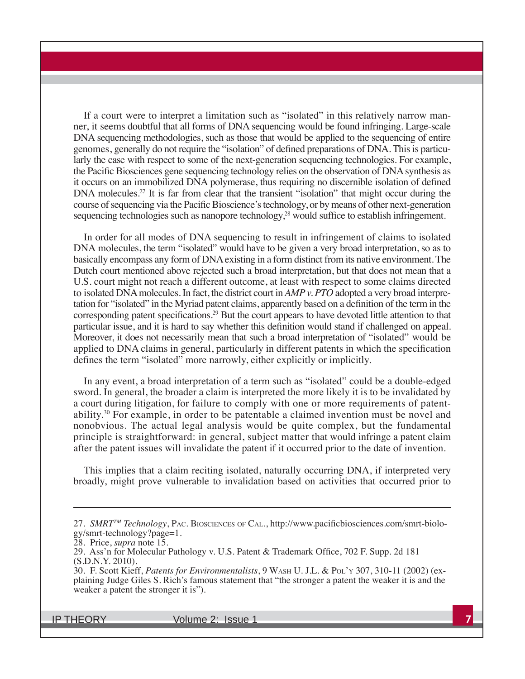If a court were to interpret a limitation such as "isolated" in this relatively narrow manner, it seems doubtful that all forms of DNA sequencing would be found infringing. Large-scale DNA sequencing methodologies, such as those that would be applied to the sequencing of entire genomes, generally do not require the "isolation" of defined preparations of DNA. This is particularly the case with respect to some of the next-generation sequencing technologies. For example, the Pacific Biosciences gene sequencing technology relies on the observation of DNA synthesis as it occurs on an immobilized DNA polymerase, thus requiring no discernible isolation of defined DNA molecules.<sup>27</sup> It is far from clear that the transient "isolation" that might occur during the course of sequencing via the Pacific Bioscience's technology, or by means of other next-generation sequencing technologies such as nanopore technology,<sup>28</sup> would suffice to establish infringement.

In order for all modes of DNA sequencing to result in infringement of claims to isolated DNA molecules, the term "isolated" would have to be given a very broad interpretation, so as to basically encompass any form of DNA existing in a form distinct from its native environment. The Dutch court mentioned above rejected such a broad interpretation, but that does not mean that a U.S. court might not reach a different outcome, at least with respect to some claims directed to isolated DNA molecules. In fact, the district court in *AMP v. PTO* adopted a very broad interpretation for "isolated" in the Myriad patent claims, apparently based on a definition of the term in the corresponding patent specifications.<sup>29</sup> But the court appears to have devoted little attention to that particular issue, and it is hard to say whether this definition would stand if challenged on appeal. Moreover, it does not necessarily mean that such a broad interpretation of "isolated" would be applied to DNA claims in general, particularly in different patents in which the specification defines the term "isolated" more narrowly, either explicitly or implicitly.

In any event, a broad interpretation of a term such as "isolated" could be a double-edged sword. In general, the broader a claim is interpreted the more likely it is to be invalidated by a court during litigation, for failure to comply with one or more requirements of patentability.<sup>30</sup> For example, in order to be patentable a claimed invention must be novel and nonobvious. The actual legal analysis would be quite complex, but the fundamental principle is straightforward: in general, subject matter that would infringe a patent claim after the patent issues will invalidate the patent if it occurred prior to the date of invention.

This implies that a claim reciting isolated, naturally occurring DNA, if interpreted very broadly, might prove vulnerable to invalidation based on activities that occurred prior to

<sup>27.</sup> *SMRT<sup>TM</sup> Technology*, PAC. BIOSCIENCES OF CAL., http://www.pacificbiosciences.com/smrt-biology/smrt-technology?page=1.<br>28. Price, *supra* note 15.

<sup>29.</sup> Ass'n for Molecular Pathology v. U.S. Patent & Trademark Office, 702 F. Supp. 2d 181 (S.D.N.Y. 2010).

<sup>30.</sup> F. Scott Kieff, *Patents for Environmentalists*, 9 WASH U. J.L. & POL'Y 307, 310-11 (2002) (explaining Judge Giles S. Rich's famous statement that "the stronger a patent the weaker it is and the weaker a patent the stronger it is").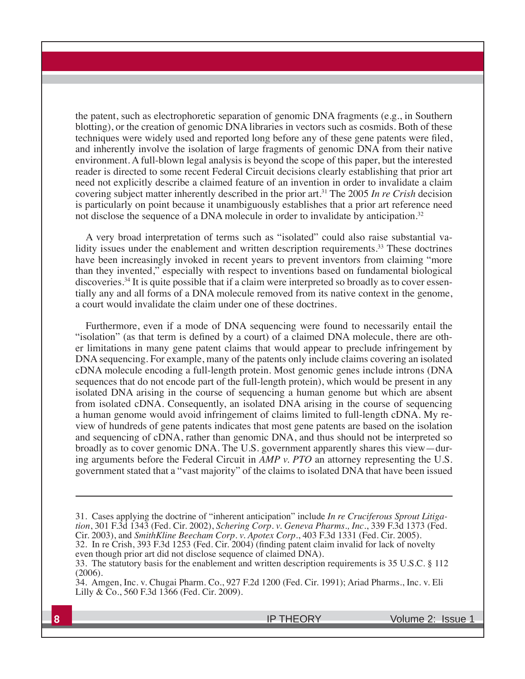the patent, such as electrophoretic separation of genomic DNA fragments (e.g., in Southern blotting), or the creation of genomic DNA libraries in vectors such as cosmids. Both of these techniques were widely used and reported long before any of these gene patents were filed, and inherently involve the isolation of large fragments of genomic DNA from their native environment. A full-blown legal analysis is beyond the scope of this paper, but the interested reader is directed to some recent Federal Circuit decisions clearly establishing that prior art need not explicitly describe a claimed feature of an invention in order to invalidate a claim covering subject matter inherently described in the prior art.31 The 2005 *In re Crish* decision is particularly on point because it unambiguously establishes that a prior art reference need not disclose the sequence of a DNA molecule in order to invalidate by anticipation.<sup>32</sup>

A very broad interpretation of terms such as "isolated" could also raise substantial validity issues under the enablement and written description requirements.<sup>33</sup> These doctrines have been increasingly invoked in recent years to prevent inventors from claiming "more than they invented," especially with respect to inventions based on fundamental biological discoveries.34 It is quite possible that if a claim were interpreted so broadly as to cover essentially any and all forms of a DNA molecule removed from its native context in the genome, a court would invalidate the claim under one of these doctrines.

Furthermore, even if a mode of DNA sequencing were found to necessarily entail the "isolation" (as that term is defined by a court) of a claimed DNA molecule, there are other limitations in many gene patent claims that would appear to preclude infringement by DNA sequencing. For example, many of the patents only include claims covering an isolated cDNA molecule encoding a full-length protein. Most genomic genes include introns (DNA sequences that do not encode part of the full-length protein), which would be present in any isolated DNA arising in the course of sequencing a human genome but which are absent from isolated cDNA. Consequently, an isolated DNA arising in the course of sequencing a human genome would avoid infringement of claims limited to full-length cDNA. My review of hundreds of gene patents indicates that most gene patents are based on the isolation and sequencing of cDNA, rather than genomic DNA, and thus should not be interpreted so broadly as to cover genomic DNA. The U.S. government apparently shares this view—during arguments before the Federal Circuit in *AMP v. PTO* an attorney representing the U.S. government stated that a "vast majority" of the claims to isolated DNA that have been issued

even though prior art did not disclose sequence of claimed DNA). 33. The statutory basis for the enablement and written description requirements is 35 U.S.C. § 112 (2006).

<sup>31.</sup> Cases applying the doctrine of "inherent anticipation" include *In re Cruciferous Sprout Litigation*, 301 F.3d 1343 (Fed. Cir. 2002), *Schering Corp. v. Geneva Pharms., Inc.*, 339 F.3d 1373 (Fed. Cir. 2003), and *SmithKline Beecham Corp. v. Apotex Corp.*, 403 F.3d 1331 (Fed. Cir. 2005). 32. In re Crish, 393 F.3d 1253 (Fed. Cir. 2004) (finding patent claim invalid for lack of novelty

<sup>34.</sup> Amgen, Inc. v. Chugai Pharm. Co., 927 F.2d 1200 (Fed. Cir. 1991); Ariad Pharms., Inc. v. Eli Lilly & Co., 560 F.3d 1366 (Fed. Cir. 2009).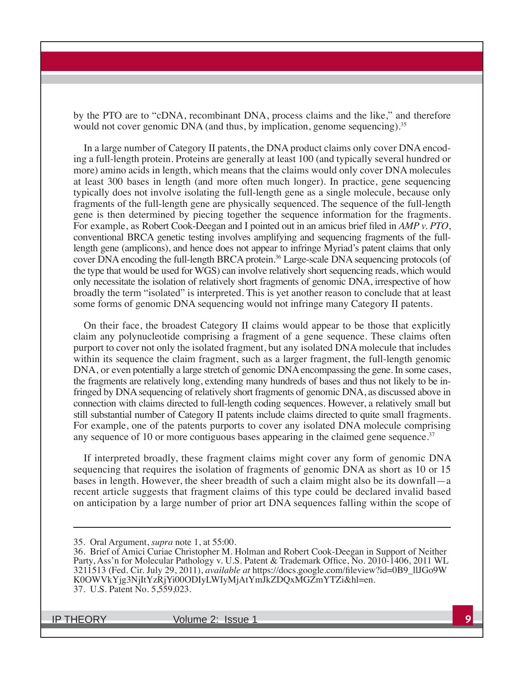by the PTO are to "cDNA, recombinant DNA, process claims and the like," and therefore would not cover genomic DNA (and thus, by implication, genome sequencing).<sup>35</sup>

In a large number of Category II patents, the DNA product claims only cover DNA encoding a full-length protein. Proteins are generally at least 100 (and typically several hundred or more) amino acids in length, which means that the claims would only cover DNA molecules at least 300 bases in length (and more often much longer). In practice, gene sequencing typically does not involve isolating the full-length gene as a single molecule, because only fragments of the full-length gene are physically sequenced. The sequence of the full-length gene is then determined by piecing together the sequence information for the fragments. For example, as Robert Cook-Deegan and I pointed out in an amicus brief filed in *AMP v. PTO*, conventional BRCA genetic testing involves amplifying and sequencing fragments of the fulllength gene (amplicons), and hence does not appear to infringe Myriad's patent claims that only cover DNA encoding the full-length BRCA protein.<sup>36</sup> Large-scale DNA sequencing protocols (of the type that would be used for WGS) can involve relatively short sequencing reads, which would only necessitate the isolation of relatively short fragments of genomic DNA, irrespective of how broadly the term "isolated" is interpreted. This is yet another reason to conclude that at least some forms of genomic DNA sequencing would not infringe many Category II patents.

On their face, the broadest Category II claims would appear to be those that explicitly claim any polynucleotide comprising a fragment of a gene sequence. These claims often purport to cover not only the isolated fragment, but any isolated DNA molecule that includes within its sequence the claim fragment, such as a larger fragment, the full-length genomic DNA, or even potentially a large stretch of genomic DNA encompassing the gene. In some cases, the fragments are relatively long, extending many hundreds of bases and thus not likely to be infringed by DNA sequencing of relatively short fragments of genomic DNA, as discussed above in connection with claims directed to full-length coding sequences. However, a relatively small but still substantial number of Category II patents include claims directed to quite small fragments. For example, one of the patents purports to cover any isolated DNA molecule comprising any sequence of 10 or more contiguous bases appearing in the claimed gene sequence.<sup>37</sup>

If interpreted broadly, these fragment claims might cover any form of genomic DNA sequencing that requires the isolation of fragments of genomic DNA as short as 10 or 15 bases in length. However, the sheer breadth of such a claim might also be its downfall—a recent article suggests that fragment claims of this type could be declared invalid based on anticipation by a large number of prior art DNA sequences falling within the scope of

<sup>35.</sup> Oral Argument, *supra* note 1, at 55:00.

<sup>36.</sup> Brief of Amici Curiae Christopher M. Holman and Robert Cook-Deegan in Support of Neither Party, Ass'n for Molecular Pathology v. U.S. Patent & Trademark Office, No. 2010-1406, 2011 WL 3211513 (Fed. Cir. July 29, 2011), *available at https://docs.google.com/fileview?id=0B9\_llJGo9W* K0OWVkYjg3NjItYzRjYi00ODIyLWIyMjAtYmJkZDQxMGZmYTZi&hl=en. 37. U.S. Patent No. 5,559,023.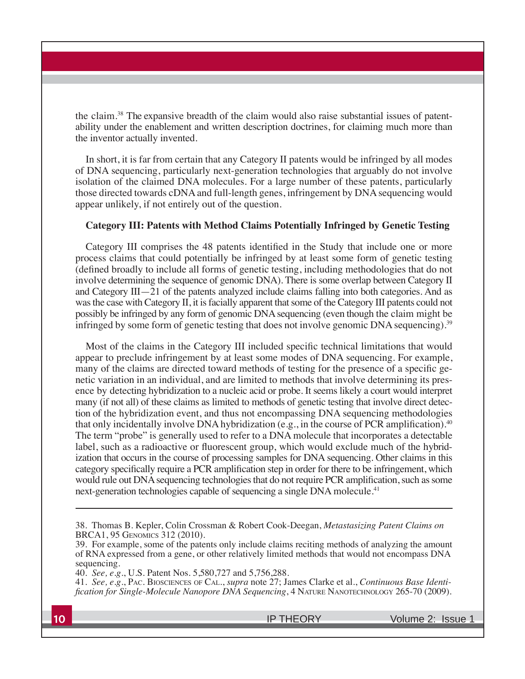the claim.38 The expansive breadth of the claim would also raise substantial issues of patentability under the enablement and written description doctrines, for claiming much more than the inventor actually invented.

In short, it is far from certain that any Category II patents would be infringed by all modes of DNA sequencing, particularly next-generation technologies that arguably do not involve isolation of the claimed DNA molecules. For a large number of these patents, particularly those directed towards cDNA and full-length genes, infringement by DNA sequencing would appear unlikely, if not entirely out of the question.

#### **Category III: Patents with Method Claims Potentially Infringed by Genetic Testing**

Category III comprises the 48 patents identified in the Study that include one or more process claims that could potentially be infringed by at least some form of genetic testing (defined broadly to include all forms of genetic testing, including methodologies that do not involve determining the sequence of genomic DNA). There is some overlap between Category II and Category III—21 of the patents analyzed include claims falling into both categories. And as was the case with Category II, it is facially apparent that some of the Category III patents could not possibly be infringed by any form of genomic DNA sequencing (even though the claim might be infringed by some form of genetic testing that does not involve genomic DNA sequencing).<sup>39</sup>

Most of the claims in the Category III included specific technical limitations that would appear to preclude infringement by at least some modes of DNA sequencing. For example, many of the claims are directed toward methods of testing for the presence of a specific genetic variation in an individual, and are limited to methods that involve determining its presence by detecting hybridization to a nucleic acid or probe. It seems likely a court would interpret many (if not all) of these claims as limited to methods of genetic testing that involve direct detection of the hybridization event, and thus not encompassing DNA sequencing methodologies that only incidentally involve DNA hybridization (e.g., in the course of PCR amplification).<sup>40</sup> The term "probe" is generally used to refer to a DNA molecule that incorporates a detectable label, such as a radioactive or fluorescent group, which would exclude much of the hybridization that occurs in the course of processing samples for DNA sequencing. Other claims in this category specifically require a PCR amplification step in order for there to be infringement, which would rule out DNA sequencing technologies that do not require PCR amplification, such as some next-generation technologies capable of sequencing a single DNA molecule.<sup>41</sup>

41. *See, e.g.*, PAC. BIOSCIENCES OF CAL., *supra* note 27; James Clarke et al., *Continuous Base Identification for Single-Molecule Nanopore DNA Sequencing*, 4 NATURE NANOTECHNOLOGY 265-70 (2009).

<sup>38.</sup> Thomas B. Kepler, Colin Crossman & Robert Cook-Deegan, *Metastasizing Patent Claims on* BRCA1, 95 GENOMICS 312 (2010).

<sup>39.</sup> For example, some of the patents only include claims reciting methods of analyzing the amount of RNA expressed from a gene, or other relatively limited methods that would not encompass DNA sequencing.

<sup>40.</sup> *See, e.g.*, U.S. Patent Nos. 5,580,727 and 5,756,288.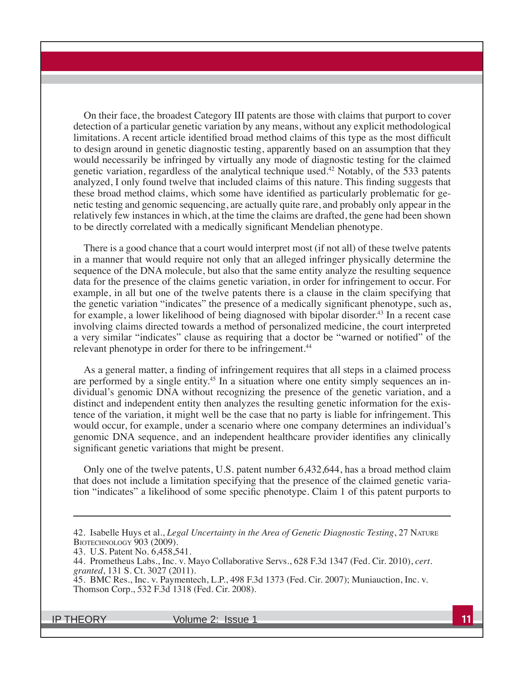On their face, the broadest Category III patents are those with claims that purport to cover detection of a particular genetic variation by any means, without any explicit methodological limitations. A recent article identified broad method claims of this type as the most difficult to design around in genetic diagnostic testing, apparently based on an assumption that they would necessarily be infringed by virtually any mode of diagnostic testing for the claimed genetic variation, regardless of the analytical technique used.42 Notably, of the 533 patents analyzed, I only found twelve that included claims of this nature. This finding suggests that these broad method claims, which some have identified as particularly problematic for genetic testing and genomic sequencing, are actually quite rare, and probably only appear in the relatively few instances in which, at the time the claims are drafted, the gene had been shown to be directly correlated with a medically significant Mendelian phenotype.

There is a good chance that a court would interpret most (if not all) of these twelve patents in a manner that would require not only that an alleged infringer physically determine the sequence of the DNA molecule, but also that the same entity analyze the resulting sequence data for the presence of the claims genetic variation, in order for infringement to occur. For example, in all but one of the twelve patents there is a clause in the claim specifying that the genetic variation "indicates" the presence of a medically significant phenotype, such as, for example, a lower likelihood of being diagnosed with bipolar disorder.<sup>43</sup> In a recent case involving claims directed towards a method of personalized medicine, the court interpreted a very similar "indicates" clause as requiring that a doctor be "warned or notified" of the relevant phenotype in order for there to be infringement.<sup>44</sup>

As a general matter, a finding of infringement requires that all steps in a claimed process are performed by a single entity.<sup>45</sup> In a situation where one entity simply sequences an individual's genomic DNA without recognizing the presence of the genetic variation, and a distinct and independent entity then analyzes the resulting genetic information for the existence of the variation, it might well be the case that no party is liable for infringement. This would occur, for example, under a scenario where one company determines an individual's genomic DNA sequence, and an independent healthcare provider identifies any clinically significant genetic variations that might be present.

Only one of the twelve patents, U.S. patent number 6,432,644, has a broad method claim that does not include a limitation specifying that the presence of the claimed genetic variation "indicates" a likelihood of some specific phenotype. Claim 1 of this patent purports to

<sup>42.</sup> Isabelle Huys et al., *Legal Uncertainty in the Area of Genetic Diagnostic Testing*, 27 NATURE BIOTECHNOLOGY 903 (2009).

<sup>43.</sup> U.S. Patent No. 6,458,541.

<sup>44.</sup> Prometheus Labs., Inc. v. Mayo Collaborative Servs., 628 F.3d 1347 (Fed. Cir. 2010), *cert. granted*, 131 S. Ct. 3027 (2011).

<sup>45.</sup> BMC Res., Inc. v. Paymentech, L.P., 498 F.3d 1373 (Fed. Cir. 2007); Muniauction, Inc. v. Thomson Corp., 532 F.3d 1318 (Fed. Cir. 2008).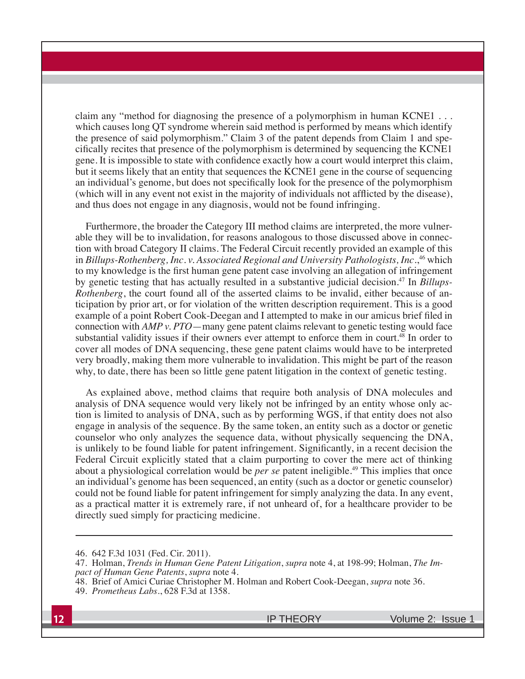claim any "method for diagnosing the presence of a polymorphism in human KCNE1 . . . which causes long QT syndrome wherein said method is performed by means which identify the presence of said polymorphism." Claim 3 of the patent depends from Claim 1 and specifically recites that presence of the polymorphism is determined by sequencing the KCNE1 gene. It is impossible to state with confidence exactly how a court would interpret this claim, but it seems likely that an entity that sequences the KCNE1 gene in the course of sequencing an individual's genome, but does not specifically look for the presence of the polymorphism (which will in any event not exist in the majority of individuals not afflicted by the disease), and thus does not engage in any diagnosis, would not be found infringing.

Furthermore, the broader the Category III method claims are interpreted, the more vulnerable they will be to invalidation, for reasons analogous to those discussed above in connection with broad Category II claims. The Federal Circuit recently provided an example of this in *Billups-Rothenberg, Inc. v. Associated Regional and University Pathologists, Inc.*, 46 which to my knowledge is the first human gene patent case involving an allegation of infringement by genetic testing that has actually resulted in a substantive judicial decision.47 In *Billups-Rothenberg*, the court found all of the asserted claims to be invalid, either because of anticipation by prior art, or for violation of the written description requirement. This is a good example of a point Robert Cook-Deegan and I attempted to make in our amicus brief filed in connection with *AMP v. PTO*—many gene patent claims relevant to genetic testing would face substantial validity issues if their owners ever attempt to enforce them in court.<sup>48</sup> In order to cover all modes of DNA sequencing, these gene patent claims would have to be interpreted very broadly, making them more vulnerable to invalidation. This might be part of the reason why, to date, there has been so little gene patent litigation in the context of genetic testing.

As explained above, method claims that require both analysis of DNA molecules and analysis of DNA sequence would very likely not be infringed by an entity whose only action is limited to analysis of DNA, such as by performing WGS, if that entity does not also engage in analysis of the sequence. By the same token, an entity such as a doctor or genetic counselor who only analyzes the sequence data, without physically sequencing the DNA, is unlikely to be found liable for patent infringement. Significantly, in a recent decision the Federal Circuit explicitly stated that a claim purporting to cover the mere act of thinking about a physiological correlation would be *per se* patent ineligible.<sup>49</sup> This implies that once an individual's genome has been sequenced, an entity (such as a doctor or genetic counselor) could not be found liable for patent infringement for simply analyzing the data. In any event, as a practical matter it is extremely rare, if not unheard of, for a healthcare provider to be directly sued simply for practicing medicine.

<sup>46. 642</sup> F.3d 1031 (Fed. Cir. 2011).

<sup>47.</sup> Holman, *Trends in Human Gene Patent Litigation*, *supra* note 4, at 198-99; Holman, *The Impact of Human Gene Patents*, *supra* note 4.

<sup>48.</sup> Brief of Amici Curiae Christopher M. Holman and Robert Cook-Deegan, *supra* note 36.

<sup>49.</sup> *Prometheus Labs.*, 628 F.3d at 1358.

**<sup>12</sup> IP THEORY** Volume 2: Issue 1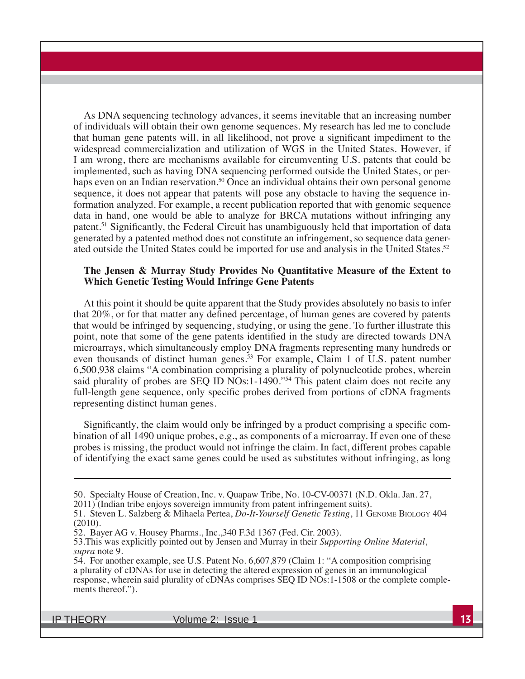As DNA sequencing technology advances, it seems inevitable that an increasing number of individuals will obtain their own genome sequences. My research has led me to conclude that human gene patents will, in all likelihood, not prove a significant impediment to the widespread commercialization and utilization of WGS in the United States. However, if I am wrong, there are mechanisms available for circumventing U.S. patents that could be implemented, such as having DNA sequencing performed outside the United States, or perhaps even on an Indian reservation.<sup>50</sup> Once an individual obtains their own personal genome sequence, it does not appear that patents will pose any obstacle to having the sequence information analyzed. For example, a recent publication reported that with genomic sequence data in hand, one would be able to analyze for BRCA mutations without infringing any patent.<sup>51</sup> Significantly, the Federal Circuit has unambiguously held that importation of data generated by a patented method does not constitute an infringement, so sequence data generated outside the United States could be imported for use and analysis in the United States.<sup>52</sup>

#### **The Jensen & Murray Study Provides No Quantitative Measure of the Extent to Which Genetic Testing Would Infringe Gene Patents**

At this point it should be quite apparent that the Study provides absolutely no basis to infer that  $20\%$ , or for that matter any defined percentage, of human genes are covered by patents that would be infringed by sequencing, studying, or using the gene. To further illustrate this point, note that some of the gene patents identified in the study are directed towards DNA microarrays, which simultaneously employ DNA fragments representing many hundreds or even thousands of distinct human genes.<sup>53</sup> For example, Claim 1 of U.S. patent number 6,500,938 claims "A combination comprising a plurality of polynucleotide probes, wherein said plurality of probes are SEQ ID NOs:1-1490."<sup>54</sup> This patent claim does not recite any full-length gene sequence, only specific probes derived from portions of cDNA fragments representing distinct human genes.

Significantly, the claim would only be infringed by a product comprising a specific combination of all 1490 unique probes, e.g., as components of a microarray. If even one of these probes is missing, the product would not infringe the claim. In fact, different probes capable of identifying the exact same genes could be used as substitutes without infringing, as long

<sup>50.</sup> Specialty House of Creation, Inc. v. Quapaw Tribe, No. 10-CV-00371 (N.D. Okla. Jan. 27, 2011) (Indian tribe enjoys sovereign immunity from patent infringement suits).

<sup>51.</sup> Steven L. Salzberg & Mihaela Pertea, *Do-It-Yourself Genetic Testing*, 11 GENOME BIOLOGY 404 (2010).

<sup>52.</sup> Bayer AG v. Housey Pharms., Inc.,340 F.3d 1367 (Fed. Cir. 2003).

<sup>53.</sup>This was explicitly pointed out by Jensen and Murray in their *Supporting Online Material*, *supra* note 9.

<sup>54.</sup> For another example, see U.S. Patent No. 6,607,879 (Claim 1: "A composition comprising a plurality of cDNAs for use in detecting the altered expression of genes in an immunological response, wherein said plurality of cDNAs comprises SEQ ID NOs:1-1508 or the complete complements thereof.").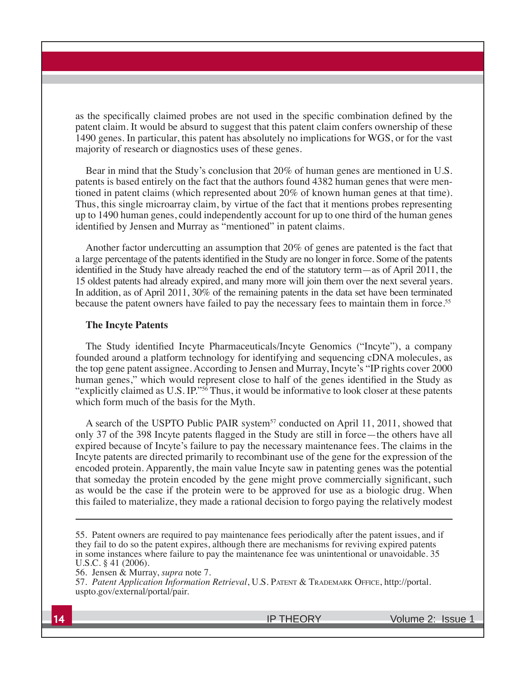as the specifically claimed probes are not used in the specific combination defined by the patent claim. It would be absurd to suggest that this patent claim confers ownership of these 1490 genes. In particular, this patent has absolutely no implications for WGS, or for the vast majority of research or diagnostics uses of these genes.

Bear in mind that the Study's conclusion that 20% of human genes are mentioned in U.S. patents is based entirely on the fact that the authors found 4382 human genes that were mentioned in patent claims (which represented about 20% of known human genes at that time). Thus, this single microarray claim, by virtue of the fact that it mentions probes representing up to 1490 human genes, could independently account for up to one third of the human genes identified by Jensen and Murray as "mentioned" in patent claims.

Another factor undercutting an assumption that 20% of genes are patented is the fact that a large percentage of the patents identified in the Study are no longer in force. Some of the patents identified in the Study have already reached the end of the statutory term—as of April 2011, the 15 oldest patents had already expired, and many more will join them over the next several years. In addition, as of April 2011, 30% of the remaining patents in the data set have been terminated because the patent owners have failed to pay the necessary fees to maintain them in force.<sup>55</sup>

### **The Incyte Patents**

The Study identified Incyte Pharmaceuticals/Incyte Genomics ("Incyte"), a company founded around a platform technology for identifying and sequencing cDNA molecules, as the top gene patent assignee. According to Jensen and Murray, Incyte's "IP rights cover 2000 human genes," which would represent close to half of the genes identified in the Study as "explicitly claimed as U.S. IP."56 Thus, it would be informative to look closer at these patents which form much of the basis for the Myth.

A search of the USPTO Public PAIR system<sup>57</sup> conducted on April 11, 2011, showed that only 37 of the 398 Incyte patents flagged in the Study are still in force—the others have all expired because of Incyte's failure to pay the necessary maintenance fees. The claims in the Incyte patents are directed primarily to recombinant use of the gene for the expression of the encoded protein. Apparently, the main value Incyte saw in patenting genes was the potential that someday the protein encoded by the gene might prove commercially significant, such as would be the case if the protein were to be approved for use as a biologic drug. When this failed to materialize, they made a rational decision to forgo paying the relatively modest

<sup>55.</sup> Patent owners are required to pay maintenance fees periodically after the patent issues, and if they fail to do so the patent expires, although there are mechanisms for reviving expired patents in some instances where failure to pay the maintenance fee was unintentional or unavoidable. 35 U.S.C. § 41 (2006).

<sup>56.</sup> Jensen & Murray, *supra* note 7.

<sup>57.</sup> *Patent Application Information Retrieval*, U.S. PATENT & TRADEMARK OFFICE, http://portal. uspto.gov/external/portal/pair.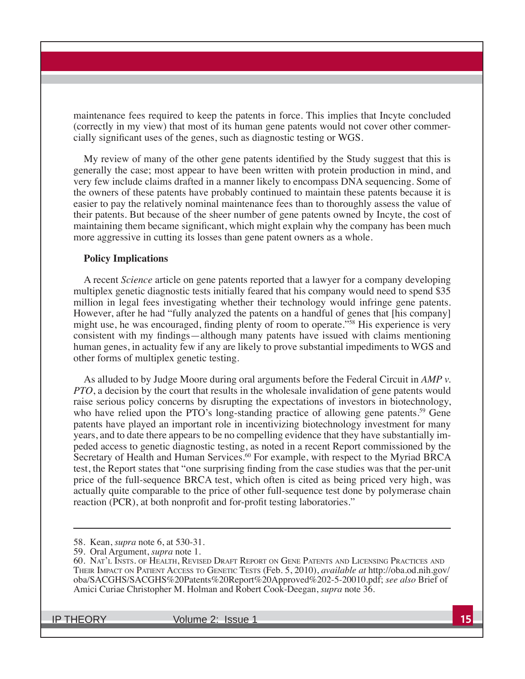maintenance fees required to keep the patents in force. This implies that Incyte concluded (correctly in my view) that most of its human gene patents would not cover other commercially significant uses of the genes, such as diagnostic testing or WGS.

My review of many of the other gene patents identified by the Study suggest that this is generally the case; most appear to have been written with protein production in mind, and very few include claims drafted in a manner likely to encompass DNA sequencing. Some of the owners of these patents have probably continued to maintain these patents because it is easier to pay the relatively nominal maintenance fees than to thoroughly assess the value of their patents. But because of the sheer number of gene patents owned by Incyte, the cost of maintaining them became significant, which might explain why the company has been much more aggressive in cutting its losses than gene patent owners as a whole.

#### **Policy Implications**

A recent *Science* article on gene patents reported that a lawyer for a company developing multiplex genetic diagnostic tests initially feared that his company would need to spend \$35 million in legal fees investigating whether their technology would infringe gene patents. However, after he had "fully analyzed the patents on a handful of genes that [his company] might use, he was encouraged, finding plenty of room to operate."<sup>58</sup> His experience is very consistent with my findings—although many patents have issued with claims mentioning human genes, in actuality few if any are likely to prove substantial impediments to WGS and other forms of multiplex genetic testing.

As alluded to by Judge Moore during oral arguments before the Federal Circuit in *AMP v. PTO*, a decision by the court that results in the wholesale invalidation of gene patents would raise serious policy concerns by disrupting the expectations of investors in biotechnology, who have relied upon the PTO's long-standing practice of allowing gene patents.<sup>59</sup> Gene patents have played an important role in incentivizing biotechnology investment for many years, and to date there appears to be no compelling evidence that they have substantially impeded access to genetic diagnostic testing, as noted in a recent Report commissioned by the Secretary of Health and Human Services.<sup>60</sup> For example, with respect to the Myriad BRCA test, the Report states that "one surprising finding from the case studies was that the per-unit price of the full-sequence BRCA test, which often is cited as being priced very high, was actually quite comparable to the price of other full-sequence test done by polymerase chain reaction (PCR), at both nonprofit and for-profit testing laboratories."

<sup>58.</sup> Kean, *supra* note 6, at 530-31.

<sup>59.</sup> Oral Argument, *supra* note 1.

<sup>60.</sup> NAT'L INSTS. OF HEALTH, REVISED DRAFT REPORT ON GENE PATENTS AND LICENSING PRACTICES AND THEIR IMPACT ON PATIENT ACCESS TO GENETIC TESTS (Feb. 5, 2010), *available at* http://oba.od.nih.gov/ oba/SACGHS/SACGHS%20Patents%20Report%20Approved%202-5-20010.pdf; *see also* Brief of Amici Curiae Christopher M. Holman and Robert Cook-Deegan, *supra* note 36.